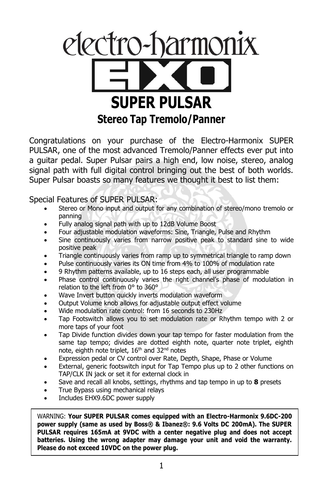

Congratulations on your purchase of the Electro-Harmonix SUPER PULSAR, one of the most advanced Tremolo/Panner effects ever put into a guitar pedal. Super Pulsar pairs a high end, low noise, stereo, analog signal path with full digital control bringing out the best of both worlds. Super Pulsar boasts so many features we thought it best to list them:

Special Features of SUPER PULSAR:

- Stereo or Mono input and output for any combination of stereo/mono tremolo or panning
- Fully analog signal path with up to 12dB Volume Boost
- Four adjustable modulation waveforms: Sine, Triangle, Pulse and Rhythm
- Sine continuously varies from narrow positive peak to standard sine to wide positive peak
- Triangle continuously varies from ramp up to symmetrical triangle to ramp down
- Pulse continuously varies its ON time from 4% to 100% of modulation rate
- 9 Rhythm patterns available, up to 16 steps each, all user programmable
- Phase control continuously varies the right channel's phase of modulation in relation to the left from 0° to 360°
- Wave Invert button quickly inverts modulation waveform
- Output Volume knob allows for adjustable output effect volume
- Wide modulation rate control: from 16 seconds to 230Hz
- Tap Footswitch allows you to set modulation rate or Rhythm tempo with 2 or more taps of your foot
- Tap Divide function divides down your tap tempo for faster modulation from the same tap tempo; divides are dotted eighth note, quarter note triplet, eighth note, eighth note triplet, 16<sup>th</sup> and 32<sup>nd</sup> notes
- Expression pedal or CV control over Rate, Depth, Shape, Phase or Volume
- External, generic footswitch input for Tap Tempo plus up to 2 other functions on TAP/CLK IN jack or set it for external clock in
- Save and recall all knobs, settings, rhythms and tap tempo in up to **8** presets
- True Bypass using mechanical relays
- Includes EHX9.6DC power supply

WARNING: **Your SUPER PULSAR comes equipped with an Electro-Harmonix 9.6DC-200 power supply (same as used by Boss® & Ibanez®: 9.6 Volts DC 200mA). The SUPER PULSAR requires 165mA at 9VDC with a center negative plug and does not accept batteries. Using the wrong adapter may damage your unit and void the warranty. Please do not exceed 10VDC on the power plug.**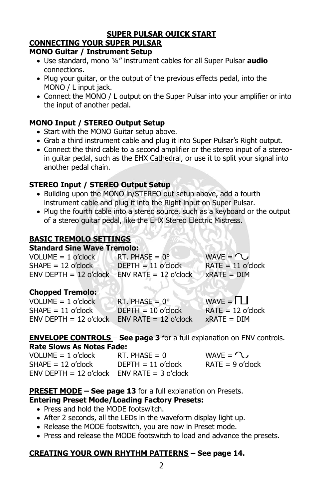#### **SUPER PULSAR QUICK START**

## **CONNECTING YOUR SUPER PULSAR**

#### **MONO Guitar / Instrument Setup**

- Use standard, mono ¼" instrument cables for all Super Pulsar **audio** connections.
- Plug your guitar, or the output of the previous effects pedal, into the MONO / L input jack.
- Connect the MONO / L output on the Super Pulsar into your amplifier or into the input of another pedal.

#### **MONO Input / STEREO Output Setup**

- Start with the MONO Guitar setup above.
- Grab a third instrument cable and plug it into Super Pulsar's Right output.
- Connect the third cable to a second amplifier or the stereo input of a stereoin guitar pedal, such as the EHX Cathedral, or use it to split your signal into another pedal chain.

#### **STEREO Input / STEREO Output Setup**

- Building upon the MONO in/STEREO out setup above, add a fourth instrument cable and plug it into the Right input on Super Pulsar.
- Plug the fourth cable into a stereo source, such as a keyboard or the output of a stereo guitar pedal, like the EHX Stereo Electric Mistress.

#### **BASIC TREMOLO SETTINGS**

# **Standard Sine Wave Tremolo:**

| $VOLUME = 1 o'clock$                           | RT. PHASE = $0^{\circ}$ | WAVE = $\Omega$     |
|------------------------------------------------|-------------------------|---------------------|
| $SHAPE = 12$ o'clock                           | $DFPTH = 11$ o'clock    | $RATE = 11$ o'clock |
| $ENV$ DEPTH = 12 o'clock ENV RATE = 12 o'clock |                         | $xRATE = DIM$       |

## **Chopped Tremolo:**

| $VOLUME = 1 o'clock$                           | RT. PHASE = $0^{\circ}$ | WAVE = $\Pi$        |
|------------------------------------------------|-------------------------|---------------------|
| $SHAPE = 11$ o'clock                           | $DFPTH = 10$ o'clock    | $RATE = 12$ o'clock |
| $ENV$ DEPTH = 12 o'clock ENV RATE = 12 o'clock |                         | $xRATE = DIM$       |

#### **ENVELOPE CONTROLS** – **See page 3** for a full explanation on ENV controls. **Rate Slows As Notes Fade:**

| VOLUME = 1 o'clock                            | $RT. PHASE = 0$      | WAVE = $\mathcal{D}$ |
|-----------------------------------------------|----------------------|----------------------|
| $SHAPE = 12$ o'clock                          | $DFPTH = 11$ o'clock | $RATE = 9$ o'clock   |
| $ENV$ DEPTH = 12 o'clock ENV RATE = 3 o'clock |                      |                      |

#### **PRESET MODE – See page 13** for a full explanation on Presets. **Entering Preset Mode/Loading Factory Presets:**

- Press and hold the MODE footswitch.
- After 2 seconds, all the LEDs in the waveform display light up.
- Release the MODE footswitch, you are now in Preset mode.
- Press and release the MODE footswitch to load and advance the presets.

#### **CREATING YOUR OWN RHYTHM PATTERNS – See page 14.**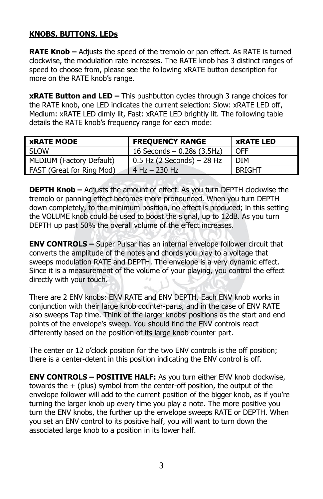### **KNOBS, BUTTONS, LEDs**

**RATE Knob –** Adjusts the speed of the tremolo or pan effect. As RATE is turned clockwise, the modulation rate increases. The RATE knob has 3 distinct ranges of speed to choose from, please see the following xRATE button description for more on the RATE knob's range.

**xRATE Button and LED –** This pushbutton cycles through 3 range choices for the RATE knob, one LED indicates the current selection: Slow: xRATE LED off, Medium: xRATE LED dimly lit, Fast: xRATE LED brightly lit. The following table details the RATE knob's frequency range for each mode:

| <b>xRATE MODE</b>         | <b>FREQUENCY RANGE</b>       | <b>xRATE LED</b> |
|---------------------------|------------------------------|------------------|
| SLOW                      | 16 Seconds $-$ 0.28s (3.5Hz) | <b>OFF</b>       |
| MEDIUM (Factory Default)  | $0.5$ Hz (2 Seconds) – 28 Hz | <b>DIM</b>       |
| FAST (Great for Ring Mod) | $4$ Hz $-$ 230 Hz            | <b>BRIGHT</b>    |

**DEPTH Knob –** Adjusts the amount of effect. As you turn DEPTH clockwise the tremolo or panning effect becomes more pronounced. When you turn DEPTH down completely, to the minimum position, no effect is produced; in this setting the VOLUME knob could be used to boost the signal, up to 12dB. As you turn DEPTH up past 50% the overall volume of the effect increases.

**ENV CONTROLS –** Super Pulsar has an internal envelope follower circuit that converts the amplitude of the notes and chords you play to a voltage that sweeps modulation RATE and DEPTH. The envelope is a very dynamic effect. Since it is a measurement of the volume of your playing, you control the effect directly with your touch.

There are 2 ENV knobs: ENV RATE and ENV DEPTH. Each ENV knob works in conjunction with their large knob counter-parts, and in the case of ENV RATE also sweeps Tap time. Think of the larger knobs' positions as the start and end points of the envelope's sweep. You should find the ENV controls react differently based on the position of its large knob counter-part.

The center or 12 o'clock position for the two ENV controls is the off position; there is a center-detent in this position indicating the ENV control is off.

**ENV CONTROLS – POSITIVE HALF:** As you turn either ENV knob clockwise, towards the  $+$  (plus) symbol from the center-off position, the output of the envelope follower will add to the current position of the bigger knob, as if you're turning the larger knob up every time you play a note. The more positive you turn the ENV knobs, the further up the envelope sweeps RATE or DEPTH. When you set an ENV control to its positive half, you will want to turn down the associated large knob to a position in its lower half.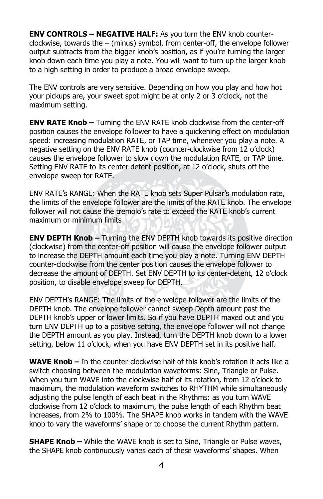**ENV CONTROLS – NEGATIVE HALF:** As you turn the ENV knob counterclockwise, towards the – (minus) symbol, from center-off, the envelope follower output subtracts from the bigger knob's position, as if you're turning the larger knob down each time you play a note. You will want to turn up the larger knob to a high setting in order to produce a broad envelope sweep.

The ENV controls are very sensitive. Depending on how you play and how hot your pickups are, your sweet spot might be at only 2 or 3 o'clock, not the maximum setting.

**ENV RATE Knob –** Turning the ENV RATE knob clockwise from the center-off position causes the envelope follower to have a quickening effect on modulation speed: increasing modulation RATE, or TAP time, whenever you play a note. A negative setting on the ENV RATE knob (counter-clockwise from 12 o'clock) causes the envelope follower to slow down the modulation RATE, or TAP time. Setting ENV RATE to its center detent position, at 12 o'clock, shuts off the envelope sweep for RATE.

ENV RATE's RANGE: When the RATE knob sets Super Pulsar's modulation rate, the limits of the envelope follower are the limits of the RATE knob. The envelope follower will not cause the tremolo's rate to exceed the RATE knob's current maximum or minimum limits

**ENV DEPTH Knob –** Turning the ENV DEPTH knob towards its positive direction (clockwise) from the center-off position will cause the envelope follower output to increase the DEPTH amount each time you play a note. Turning ENV DEPTH counter-clockwise from the center position causes the envelope follower to decrease the amount of DEPTH. Set ENV DEPTH to its center-detent, 12 o'clock position, to disable envelope sweep for DEPTH.

ENV DEPTH's RANGE: The limits of the envelope follower are the limits of the DEPTH knob. The envelope follower cannot sweep Depth amount past the DEPTH knob's upper or lower limits. So if you have DEPTH maxed out and you turn ENV DEPTH up to a positive setting, the envelope follower will not change the DEPTH amount as you play. Instead, turn the DEPTH knob down to a lower setting, below 11 o'clock, when you have ENV DEPTH set in its positive half.

**WAVE Knob –** In the counter-clockwise half of this knob's rotation it acts like a switch choosing between the modulation waveforms: Sine, Triangle or Pulse. When you turn WAVE into the clockwise half of its rotation, from 12 o'clock to maximum, the modulation waveform switches to RHYTHM while simultaneously adjusting the pulse length of each beat in the Rhythms: as you turn WAVE clockwise from 12 o'clock to maximum, the pulse length of each Rhythm beat increases, from 2% to 100%. The SHAPE knob works in tandem with the WAVE knob to vary the waveforms' shape or to choose the current Rhythm pattern.

**SHAPE Knob –** While the WAVE knob is set to Sine, Triangle or Pulse waves, the SHAPE knob continuously varies each of these waveforms' shapes. When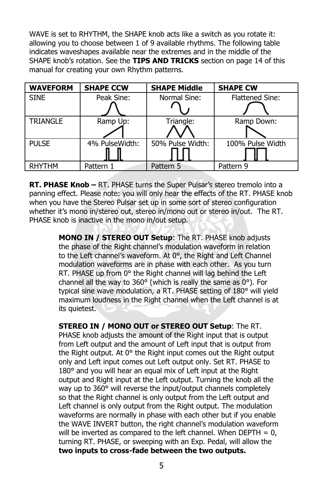WAVE is set to RHYTHM, the SHAPE knob acts like a switch as you rotate it: allowing you to choose between 1 of 9 available rhythms. The following table indicates waveshapes available near the extremes and in the middle of the SHAPE knob's rotation. See the **TIPS AND TRICKS** section on page 14 of this manual for creating your own Rhythm patterns.

| <b>WAVEFORM</b> | <b>SHAPE CCW</b> | <b>SHAPE Middle</b> | <b>SHAPE CW</b>        |
|-----------------|------------------|---------------------|------------------------|
| <b>SINE</b>     | Peak Sine:       | Normal Sine:        | <b>Flattened Sine:</b> |
|                 |                  |                     |                        |
| <b>TRIANGLE</b> | Ramp Up:         | Triangle:           | Ramp Down:             |
|                 |                  |                     |                        |
| <b>PULSE</b>    | 4% PulseWidth:   | 50% Pulse Width:    | 100% Pulse Width       |
|                 |                  |                     |                        |
| <b>RHYTHM</b>   | Pattern 1        | Pattern 5           | Pattern 9              |

**RT. PHASE Knob –** RT. PHASE turns the Super Pulsar's stereo tremolo into a panning effect. Please note: you will only hear the effects of the RT. PHASE knob when you have the Stereo Pulsar set up in some sort of stereo configuration whether it's mono in/stereo out, stereo in/mono out or stereo in/out. The RT. PHASE knob is inactive in the mono in/out setup.

> **MONO IN / STEREO OUT Setup**: The RT. PHASE knob adjusts the phase of the Right channel's modulation waveform in relation to the Left channel's waveform. At 0°, the Right and Left Channel modulation waveforms are in phase with each other. As you turn RT. PHASE up from 0° the Right channel will lag behind the Left channel all the way to 360° (which is really the same as 0°). For typical sine wave modulation, a RT. PHASE setting of 180° will yield maximum loudness in the Right channel when the Left channel is at its quietest.

> **STEREO IN / MONO OUT or STEREO OUT Setup**: The RT. PHASE knob adjusts the amount of the Right input that is output from Left output and the amount of Left input that is output from the Right output. At 0° the Right input comes out the Right output only and Left input comes out Left output only. Set RT. PHASE to 180° and you will hear an equal mix of Left input at the Right output and Right input at the Left output. Turning the knob all the way up to 360° will reverse the input/output channels completely so that the Right channel is only output from the Left output and Left channel is only output from the Right output. The modulation waveforms are normally in phase with each other but if you enable the WAVE INVERT button, the right channel's modulation waveform will be inverted as compared to the left channel. When  $DEF H = 0$ , turning RT. PHASE, or sweeping with an Exp. Pedal, will allow the **two inputs to cross-fade between the two outputs.**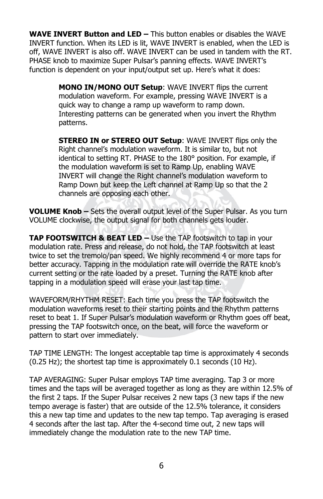**WAVE INVERT Button and LED –** This button enables or disables the WAVE INVERT function. When its LED is lit, WAVE INVERT is enabled, when the LED is off, WAVE INVERT is also off. WAVE INVERT can be used in tandem with the RT. PHASE knob to maximize Super Pulsar's panning effects. WAVE INVERT's function is dependent on your input/output set up. Here's what it does:

> **MONO IN/MONO OUT Setup**: WAVE INVERT flips the current modulation waveform. For example, pressing WAVE INVERT is a quick way to change a ramp up waveform to ramp down. Interesting patterns can be generated when you invert the Rhythm patterns.

> **STEREO IN or STEREO OUT Setup**: WAVE INVERT flips only the Right channel's modulation waveform. It is similar to, but not identical to setting RT. PHASE to the 180° position. For example, if the modulation waveform is set to Ramp Up, enabling WAVE INVERT will change the Right channel's modulation waveform to Ramp Down but keep the Left channel at Ramp Up so that the 2 channels are opposing each other.

**VOLUME Knob –** Sets the overall output level of the Super Pulsar. As you turn VOLUME clockwise, the output signal for both channels gets louder.

**TAP FOOTSWITCH & BEAT LED –** Use the TAP footswitch to tap in your modulation rate. Press and release, do not hold, the TAP footswitch at least twice to set the tremolo/pan speed. We highly recommend 4 or more taps for better accuracy. Tapping in the modulation rate will override the RATE knob's current setting or the rate loaded by a preset. Turning the RATE knob after tapping in a modulation speed will erase your last tap time.

WAVEFORM/RHYTHM RESET: Each time you press the TAP footswitch the modulation waveforms reset to their starting points and the Rhythm patterns reset to beat 1. If Super Pulsar's modulation waveform or Rhythm goes off beat, pressing the TAP footswitch once, on the beat, will force the waveform or pattern to start over immediately.

TAP TIME LENGTH: The longest acceptable tap time is approximately 4 seconds (0.25 Hz); the shortest tap time is approximately 0.1 seconds (10 Hz).

TAP AVERAGING: Super Pulsar employs TAP time averaging. Tap 3 or more times and the taps will be averaged together as long as they are within 12.5% of the first 2 taps. If the Super Pulsar receives 2 new taps (3 new taps if the new tempo average is faster) that are outside of the 12.5% tolerance, it considers this a new tap time and updates to the new tap tempo. Tap averaging is erased 4 seconds after the last tap. After the 4-second time out, 2 new taps will immediately change the modulation rate to the new TAP time.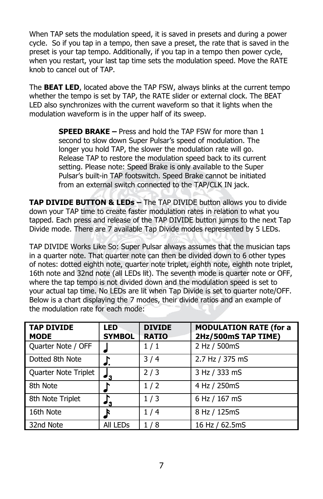When TAP sets the modulation speed, it is saved in presets and during a power cycle. So if you tap in a tempo, then save a preset, the rate that is saved in the preset is your tap tempo. Additionally, if you tap in a tempo then power cycle, when you restart, your last tap time sets the modulation speed. Move the RATE knob to cancel out of TAP.

The **BEAT LED**, located above the TAP FSW, always blinks at the current tempo whether the tempo is set by TAP, the RATE slider or external clock. The BEAT LED also synchronizes with the current waveform so that it lights when the modulation waveform is in the upper half of its sweep.

> **SPEED BRAKE –** Press and hold the TAP FSW for more than 1 second to slow down Super Pulsar's speed of modulation. The longer you hold TAP, the slower the modulation rate will go. Release TAP to restore the modulation speed back to its current setting. Please note: Speed Brake is only available to the Super Pulsar's built-in TAP footswitch. Speed Brake cannot be initiated from an external switch connected to the TAP/CLK IN jack.

**TAP DIVIDE BUTTON & LEDs –** The TAP DIVIDE button allows you to divide down your TAP time to create faster modulation rates in relation to what you tapped. Each press and release of the TAP DIVIDE button jumps to the next Tap Divide mode. There are 7 available Tap Divide modes represented by 5 LEDs.

TAP DIVIDE Works Like So: Super Pulsar always assumes that the musician taps in a quarter note. That quarter note can then be divided down to 6 other types of notes: dotted eighth note, quarter note triplet, eighth note, eighth note triplet, 16th note and 32nd note (all LEDs lit). The seventh mode is quarter note or OFF, where the tap tempo is not divided down and the modulation speed is set to your actual tap time. No LEDs are lit when Tap Divide is set to quarter note/OFF. Below is a chart displaying the 7 modes, their divide ratios and an example of the modulation rate for each mode:

| <b>TAP DIVIDE</b><br><b>MODE</b> | <b>LED</b><br><b>SYMBOL</b> | <b>DIVIDE</b><br><b>RATIO</b> | <b>MODULATION RATE (for a</b><br>2Hz/500mS TAP TIME) |
|----------------------------------|-----------------------------|-------------------------------|------------------------------------------------------|
| Quarter Note / OFF               |                             | 1/1                           | 2 Hz / 500mS                                         |
| Dotted 8th Note                  |                             | 3/4                           | 2.7 Hz / 375 mS                                      |
| Quarter Note Triplet             | $^{\prime}$ 3               | 2/3                           | 3 Hz / 333 mS                                        |
| 8th Note                         |                             | 1/2                           | 4 Hz / 250mS                                         |
| 8th Note Triplet                 | '3                          | 1/3                           | 6 Hz / 167 mS                                        |
| 16th Note                        | R                           | 1/4                           | 8 Hz / 125mS                                         |
| 32nd Note                        | All LEDs                    | 1/8                           | 16 Hz / 62.5mS                                       |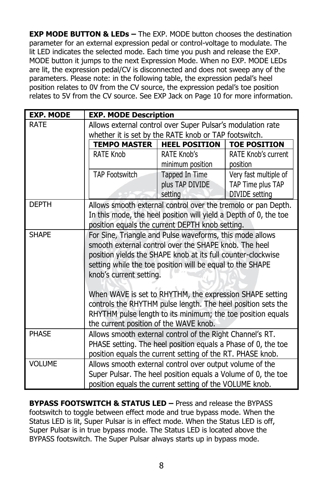**EXP MODE BUTTON & LEDs –** The EXP. MODE button chooses the destination parameter for an external expression pedal or control-voltage to modulate. The lit LED indicates the selected mode. Each time you push and release the EXP. MODE button it jumps to the next Expression Mode. When no EXP. MODE LEDs are lit, the expression pedal/CV is disconnected and does not sweep any of the parameters. Please note: in the following table, the expression pedal's heel position relates to 0V from the CV source, the expression pedal's toe position relates to 5V from the CV source. See EXP Jack on Page 10 for more information.

| <b>EXP. MODE</b> | <b>EXP. MODE Description</b>                                       |                  |                       |  |  |
|------------------|--------------------------------------------------------------------|------------------|-----------------------|--|--|
| <b>RATE</b>      | Allows external control over Super Pulsar's modulation rate        |                  |                       |  |  |
|                  | whether it is set by the RATE knob or TAP footswitch.              |                  |                       |  |  |
|                  | <b>TEMPO MASTER</b><br><b>HEEL POSITION</b><br><b>TOE POSITION</b> |                  |                       |  |  |
|                  | RATE Knob                                                          | RATE Knob's      | RATE Knob's current   |  |  |
|                  |                                                                    | minimum position | position              |  |  |
|                  | <b>TAP Footswitch</b>                                              | Tapped In Time   | Very fast multiple of |  |  |
|                  |                                                                    | plus TAP DIVIDE  | TAP Time plus TAP     |  |  |
|                  |                                                                    | setting          | <b>DIVIDE</b> setting |  |  |
| <b>DEPTH</b>     | Allows smooth external control over the tremolo or pan Depth.      |                  |                       |  |  |
|                  | In this mode, the heel position will yield a Depth of 0, the toe   |                  |                       |  |  |
|                  | position equals the current DEPTH knob setting.                    |                  |                       |  |  |
| <b>SHAPE</b>     | For Sine, Triangle and Pulse waveforms, this mode allows           |                  |                       |  |  |
|                  | smooth external control over the SHAPE knob. The heel              |                  |                       |  |  |
|                  | position yields the SHAPE knob at its full counter-clockwise       |                  |                       |  |  |
|                  | setting while the toe position will be equal to the SHAPE          |                  |                       |  |  |
|                  | knob's current setting.                                            |                  |                       |  |  |
|                  |                                                                    |                  |                       |  |  |
|                  | When WAVE is set to RHYTHM, the expression SHAPE setting           |                  |                       |  |  |
|                  | controls the RHYTHM pulse length. The heel position sets the       |                  |                       |  |  |
|                  | RHYTHM pulse length to its minimum; the toe position equals        |                  |                       |  |  |
|                  | the current position of the WAVE knob.                             |                  |                       |  |  |
| <b>PHASE</b>     | Allows smooth external control of the Right Channel's RT.          |                  |                       |  |  |
|                  | PHASE setting. The heel position equals a Phase of 0, the toe      |                  |                       |  |  |
|                  | position equals the current setting of the RT. PHASE knob.         |                  |                       |  |  |
| <b>VOLUME</b>    | Allows smooth external control over output volume of the           |                  |                       |  |  |
|                  | Super Pulsar. The heel position equals a Volume of 0, the toe      |                  |                       |  |  |
|                  | position equals the current setting of the VOLUME knob.            |                  |                       |  |  |

**BYPASS FOOTSWITCH & STATUS LED –** Press and release the BYPASS footswitch to toggle between effect mode and true bypass mode. When the Status LED is lit, Super Pulsar is in effect mode. When the Status LED is off, Super Pulsar is in true bypass mode. The Status LED is located above the BYPASS footswitch. The Super Pulsar always starts up in bypass mode.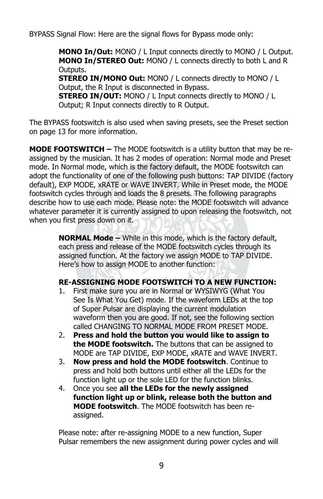BYPASS Signal Flow: Here are the signal flows for Bypass mode only:

**MONO In/Out:** MONO / L Input connects directly to MONO / L Output. **MONO In/STEREO Out:** MONO / L connects directly to both L and R Outputs.

**STEREO IN/MONO Out:** MONO / L connects directly to MONO / L Output, the R Input is disconnected in Bypass.

**STEREO IN/OUT:** MONO / L Input connects directly to MONO / L Output; R Input connects directly to R Output.

The BYPASS footswitch is also used when saving presets, see the Preset section on page 13 for more information.

**MODE FOOTSWITCH –** The MODE footswitch is a utility button that may be reassigned by the musician. It has 2 modes of operation: Normal mode and Preset mode. In Normal mode, which is the factory default, the MODE footswitch can adopt the functionality of one of the following push buttons: TAP DIVIDE (factory default), EXP MODE, xRATE or WAVE INVERT. While in Preset mode, the MODE footswitch cycles through and loads the 8 presets. The following paragraphs describe how to use each mode. Please note: the MODE footswitch will advance whatever parameter it is currently assigned to upon releasing the footswitch, not when you first press down on it.

> **NORMAL Mode –** While in this mode, which is the factory default, each press and release of the MODE footswitch cycles through its assigned function. At the factory we assign MODE to TAP DIVIDE. Here's how to assign MODE to another function:

#### **RE-ASSIGNING MODE FOOTSWITCH TO A NEW FUNCTION:**

- 1. First make sure you are in Normal or WYSIWYG (What You See Is What You Get) mode. If the waveform LEDs at the top of Super Pulsar are displaying the current modulation waveform then you are good. If not, see the following section called CHANGING TO NORMAL MODE FROM PRESET MODE.
- 2. **Press and hold the button you would like to assign to the MODE footswitch.** The buttons that can be assigned to MODE are TAP DIVIDE, EXP MODE, xRATE and WAVE INVERT.
- 3. **Now press and hold the MODE footswitch**. Continue to press and hold both buttons until either all the LEDs for the function light up or the sole LED for the function blinks.
- 4. Once you see **all the LEDs for the newly assigned function light up or blink, release both the button and MODE footswitch**. The MODE footswitch has been reassigned.

Please note: after re-assigning MODE to a new function, Super Pulsar remembers the new assignment during power cycles and will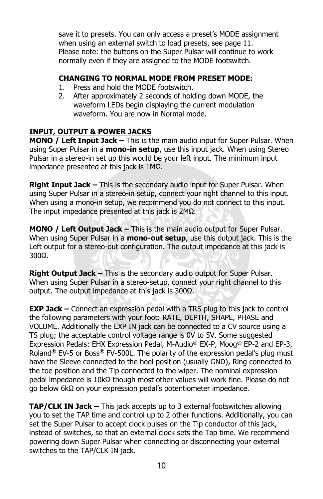save it to presets. You can only access a preset's MODE assignment when using an external switch to load presets, see page 11. Please note: the buttons on the Super Pulsar will continue to work normally even if they are assigned to the MODE footswitch.

#### **CHANGING TO NORMAL MODE FROM PRESET MODE:**

- 1. Press and hold the MODE footswitch.
- 2. After approximately 2 seconds of holding down MODE, the waveform LEDs begin displaying the current modulation waveform. You are now in Normal mode.

### **INPUT, OUTPUT & POWER JACKS**

**MONO / Left Input Jack –** This is the main audio input for Super Pulsar. When using Super Pulsar in a **mono-in setup**, use this input jack. When using Stereo Pulsar in a stereo-in set up this would be your left input. The minimum input impedance presented at this jack is 1MΩ.

**Right Input Jack –** This is the secondary audio input for Super Pulsar. When using Super Pulsar in a stereo-in setup, connect your right channel to this input. When using a mono-in setup, we recommend you do not connect to this input. The input impedance presented at this jack is 2MΩ.

**MONO / Left Output Jack –** This is the main audio output for Super Pulsar. When using Super Pulsar in a **mono-out setup**, use this output jack. This is the Left output for a stereo-out configuration. The output impedance at this jack is 300Ω.

**Right Output Jack –** This is the secondary audio output for Super Pulsar. When using Super Pulsar in a stereo-setup, connect your right channel to this output. The output impedance at this jack is 300Ω.

**EXP Jack –** Connect an expression pedal with a TRS plug to this jack to control the following parameters with your foot: RATE, DEPTH, SHAPE, PHASE and VOLUME. Additionally the EXP IN jack can be connected to a CV source using a TS plug; the acceptable control voltage range is 0V to 5V. Some suggested Expression Pedals: EHX Expression Pedal, M-Audio® EX-P, Moog® EP-2 and EP-3, Roland<sup>®</sup> EV-5 or Boss<sup>®</sup> FV-500L. The polarity of the expression pedal's plug must have the Sleeve connected to the heel position (usually GND), Ring connected to the toe position and the Tip connected to the wiper. The nominal expression pedal impedance is 10kΩ though most other values will work fine. Please do not go below 6kΩ on your expression pedal's potentiometer impedance.

**TAP/CLK IN Jack –** This jack accepts up to 3 external footswitches allowing you to set the TAP time and control up to 2 other functions. Additionally, you can set the Super Pulsar to accept clock pulses on the Tip conductor of this jack, instead of switches, so that an external clock sets the Tap time. We recommend powering down Super Pulsar when connecting or disconnecting your external switches to the TAP/CLK IN jack.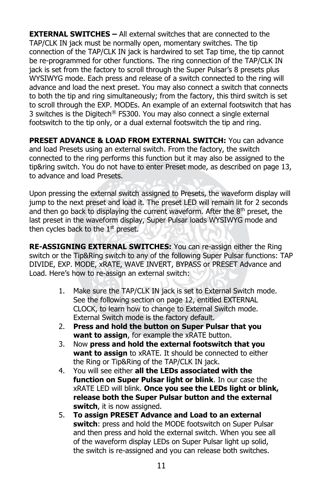**EXTERNAL SWITCHES –** All external switches that are connected to the TAP/CLK IN jack must be normally open, momentary switches. The tip connection of the TAP/CLK IN jack is hardwired to set Tap time, the tip cannot be re-programmed for other functions. The ring connection of the TAP/CLK IN jack is set from the factory to scroll through the Super Pulsar's 8 presets plus WYSIWYG mode. Each press and release of a switch connected to the ring will advance and load the next preset. You may also connect a switch that connects to both the tip and ring simultaneously; from the factory, this third switch is set to scroll through the EXP. MODEs. An example of an external footswitch that has 3 switches is the Digitech® FS300. You may also connect a single external footswitch to the tip only, or a dual external footswitch the tip and ring.

**PRESET ADVANCE & LOAD FROM EXTERNAL SWITCH:** You can advance and load Presets using an external switch. From the factory, the switch connected to the ring performs this function but it may also be assigned to the tip&ring switch. You do not have to enter Preset mode, as described on page 13, to advance and load Presets.

Upon pressing the external switch assigned to Presets, the waveform display will jump to the next preset and load it. The preset LED will remain lit for 2 seconds and then go back to displaying the current waveform. After the  $8<sup>th</sup>$  preset, the last preset in the waveform display, Super Pulsar loads WYSIWYG mode and then cycles back to the  $1<sup>st</sup>$  preset.

**RE-ASSIGNING EXTERNAL SWITCHES:** You can re-assign either the Ring switch or the Tip&Ring switch to any of the following Super Pulsar functions: TAP DIVIDE, EXP. MODE, xRATE, WAVE INVERT, BYPASS or PRESET Advance and Load. Here's how to re-assign an external switch:

- 1. Make sure the TAP/CLK IN jack is set to External Switch mode. See the following section on page 12, entitled EXTERNAL CLOCK, to learn how to change to External Switch mode. External Switch mode is the factory default.
- 2. **Press and hold the button on Super Pulsar that you want to assign**, for example the xRATE button.
- 3. Now **press and hold the external footswitch that you want to assign** to xRATE. It should be connected to either the Ring or Tip&Ring of the TAP/CLK IN jack.
- 4. You will see either **all the LEDs associated with the function on Super Pulsar light or blink**. In our case the xRATE LED will blink. **Once you see the LEDs light or blink, release both the Super Pulsar button and the external switch**, it is now assigned.
- 5. **To assign PRESET Advance and Load to an external switch**: press and hold the MODE footswitch on Super Pulsar and then press and hold the external switch. When you see all of the waveform display LEDs on Super Pulsar light up solid, the switch is re-assigned and you can release both switches.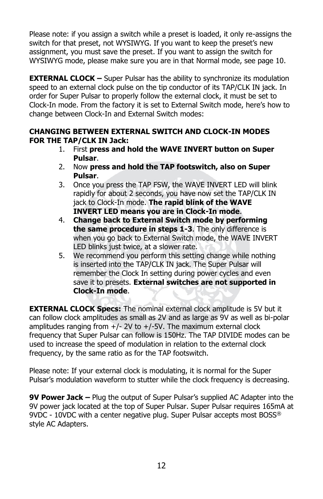Please note: if you assign a switch while a preset is loaded, it only re-assigns the switch for that preset, not WYSIWYG. If you want to keep the preset's new assignment, you must save the preset. If you want to assign the switch for WYSIWYG mode, please make sure you are in that Normal mode, see page 10.

**EXTERNAL CLOCK –** Super Pulsar has the ability to synchronize its modulation speed to an external clock pulse on the tip conductor of its TAP/CLK IN jack. In order for Super Pulsar to properly follow the external clock, it must be set to Clock-In mode. From the factory it is set to External Switch mode, here's how to change between Clock-In and External Switch modes:

#### **CHANGING BETWEEN EXTERNAL SWITCH AND CLOCK-IN MODES FOR THE TAP/CLK IN Jack:**

- 1. First **press and hold the WAVE INVERT button on Super Pulsar**.
- 2. Now **press and hold the TAP footswitch, also on Super Pulsar**.
- 3. Once you press the TAP FSW, the WAVE INVERT LED will blink rapidly for about 2 seconds, you have now set the TAP/CLK IN jack to Clock-In mode. **The rapid blink of the WAVE INVERT LED means you are in Clock-In mode**.
- 4. **Change back to External Switch mode by performing the same procedure in steps 1-3**. The only difference is when you go back to External Switch mode, the WAVE INVERT LED blinks just twice, at a slower rate.
- 5. We recommend you perform this setting change while nothing is inserted into the TAP/CLK IN jack. The Super Pulsar will remember the Clock In setting during power cycles and even save it to presets. **External switches are not supported in Clock-In mode**.

**EXTERNAL CLOCK Specs:** The nominal external clock amplitude is 5V but it can follow clock amplitudes as small as 2V and as large as 9V as well as bi-polar amplitudes ranging from  $+/- 2V$  to  $+/-5V$ . The maximum external clock frequency that Super Pulsar can follow is 150Hz. The TAP DIVIDE modes can be used to increase the speed of modulation in relation to the external clock frequency, by the same ratio as for the TAP footswitch.

Please note: If your external clock is modulating, it is normal for the Super Pulsar's modulation waveform to stutter while the clock frequency is decreasing.

**9V Power Jack –** Plug the output of Super Pulsar's supplied AC Adapter into the 9V power jack located at the top of Super Pulsar. Super Pulsar requires 165mA at 9VDC - 10VDC with a center negative plug. Super Pulsar accepts most BOSS<sup>®</sup> style AC Adapters.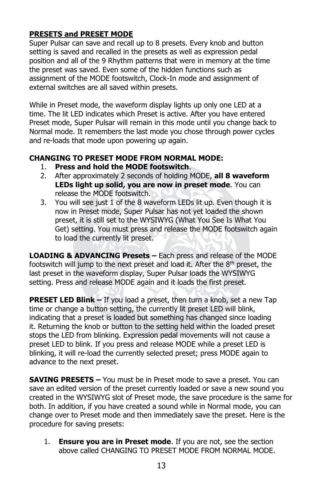### **PRESETS and PRESET MODE**

Super Pulsar can save and recall up to 8 presets. Every knob and button setting is saved and recalled in the presets as well as expression pedal position and all of the 9 Rhythm patterns that were in memory at the time the preset was saved. Even some of the hidden functions such as assignment of the MODE footswitch, Clock-In mode and assignment of external switches are all saved within presets.

While in Preset mode, the waveform display lights up only one LED at a time. The lit LED indicates which Preset is active. After you have entered Preset mode, Super Pulsar will remain in this mode until you change back to Normal mode. It remembers the last mode you chose through power cycles and re-loads that mode upon powering up again.

#### **CHANGING TO PRESET MODE FROM NORMAL MODE:**

- 1. **Press and hold the MODE footswitch**.
- 2. After approximately 2 seconds of holding MODE, **all 8 waveform LEDs light up solid, you are now in preset mode**. You can release the MODE footswitch.
- 3. You will see just 1 of the 8 waveform LEDs lit up. Even though it is now in Preset mode, Super Pulsar has not yet loaded the shown preset, it is still set to the WYSIWYG (What You See Is What You Get) setting. You must press and release the MODE footswitch again to load the currently lit preset.

**LOADING & ADVANCING Presets –** Each press and release of the MODE footswitch will jump to the next preset and load it. After the 8<sup>th</sup> preset, the last preset in the waveform display, Super Pulsar loads the WYSIWYG setting. Press and release MODE again and it loads the first preset.

**PRESET LED Blink –** If you load a preset, then turn a knob, set a new Tap time or change a button setting, the currently lit preset LED will blink, indicating that a preset is loaded but something has changed since loading it. Returning the knob or button to the setting held within the loaded preset stops the LED from blinking. Expression pedal movements will not cause a preset LED to blink. If you press and release MODE while a preset LED is blinking, it will re-load the currently selected preset; press MODE again to advance to the next preset.

**SAVING PRESETS –** You must be in Preset mode to save a preset. You can save an edited version of the preset currently loaded or save a new sound you created in the WYSIWYG slot of Preset mode, the save procedure is the same for both. In addition, if you have created a sound while in Normal mode, you can change over to Preset mode and then immediately save the preset. Here is the procedure for saving presets:

1. **Ensure you are in Preset mode**. If you are not, see the section above called CHANGING TO PRESET MODE FROM NORMAL MODE.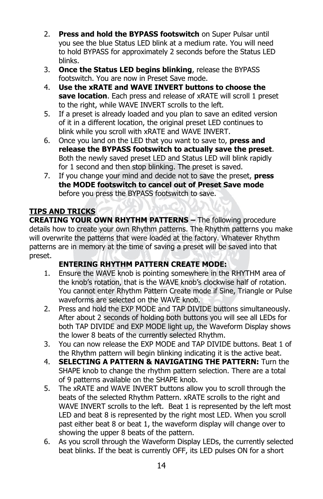- 2. **Press and hold the BYPASS footswitch** on Super Pulsar until you see the blue Status LED blink at a medium rate. You will need to hold BYPASS for approximately 2 seconds before the Status LED blinks.
- 3. **Once the Status LED begins blinking**, release the BYPASS footswitch. You are now in Preset Save mode.
- 4. **Use the xRATE and WAVE INVERT buttons to choose the save location**. Each press and release of xRATE will scroll 1 preset to the right, while WAVE INVERT scrolls to the left.
- 5. If a preset is already loaded and you plan to save an edited version of it in a different location, the original preset LED continues to blink while you scroll with xRATE and WAVE INVERT.
- 6. Once you land on the LED that you want to save to, **press and release the BYPASS footswitch to actually save the preset**. Both the newly saved preset LED and Status LED will blink rapidly for 1 second and then stop blinking. The preset is saved.
- 7. If you change your mind and decide not to save the preset, **press the MODE footswitch to cancel out of Preset Save mode** before you press the BYPASS footswitch to save.

## **TIPS AND TRICKS**

**CREATING YOUR OWN RHYTHM PATTERNS –** The following procedure details how to create your own Rhythm patterns. The Rhythm patterns you make will overwrite the patterns that were loaded at the factory. Whatever Rhythm patterns are in memory at the time of saving a preset will be saved into that preset.

## **ENTERING RHYTHM PATTERN CREATE MODE:**

- 1. Ensure the WAVE knob is pointing somewhere in the RHYTHM area of the knob's rotation, that is the WAVE knob's clockwise half of rotation. You cannot enter Rhythm Pattern Create mode if Sine, Triangle or Pulse waveforms are selected on the WAVE knob.
- 2. Press and hold the EXP MODE and TAP DIVIDE buttons simultaneously. After about 2 seconds of holding both buttons you will see all LEDs for both TAP DIVIDE and EXP MODE light up, the Waveform Display shows the lower 8 beats of the currently selected Rhythm.
- 3. You can now release the EXP MODE and TAP DIVIDE buttons. Beat 1 of the Rhythm pattern will begin blinking indicating it is the active beat.
- 4. **SELECTING A PATTERN & NAVIGATING THE PATTERN:** Turn the SHAPE knob to change the rhythm pattern selection. There are a total of 9 patterns available on the SHAPE knob.
- 5. The xRATE and WAVE INVERT buttons allow you to scroll through the beats of the selected Rhythm Pattern. xRATE scrolls to the right and WAVE INVERT scrolls to the left. Beat 1 is represented by the left most LED and beat 8 is represented by the right most LED. When you scroll past either beat 8 or beat 1, the waveform display will change over to showing the upper 8 beats of the pattern.
- 6. As you scroll through the Waveform Display LEDs, the currently selected beat blinks. If the beat is currently OFF, its LED pulses ON for a short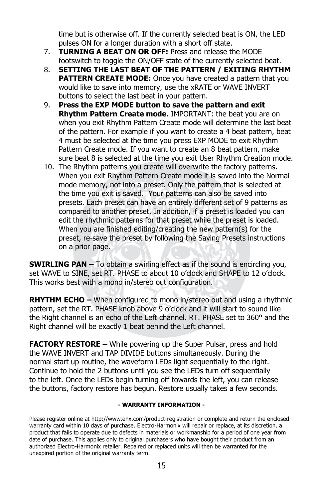time but is otherwise off. If the currently selected beat is ON, the LED pulses ON for a longer duration with a short off state.

- 7. **TURNING A BEAT ON OR OFF:** Press and release the MODE footswitch to toggle the ON/OFF state of the currently selected beat.
- 8. **SETTING THE LAST BEAT OF THE PATTERN / EXITING RHYTHM PATTERN CREATE MODE:** Once you have created a pattern that you would like to save into memory, use the xRATE or WAVE INVERT buttons to select the last beat in your pattern.
- 9. **Press the EXP MODE button to save the pattern and exit Rhythm Pattern Create mode.** IMPORTANT: the beat you are on when you exit Rhythm Pattern Create mode will determine the last beat of the pattern. For example if you want to create a 4 beat pattern, beat 4 must be selected at the time you press EXP MODE to exit Rhythm Pattern Create mode. If you want to create an 8 beat pattern, make sure beat 8 is selected at the time you exit User Rhythm Creation mode.
- 10. The Rhythm patterns you create will overwrite the factory patterns. When you exit Rhythm Pattern Create mode it is saved into the Normal mode memory, not into a preset. Only the pattern that is selected at the time you exit is saved. Your patterns can also be saved into presets. Each preset can have an entirely different set of 9 patterns as compared to another preset. In addition, if a preset is loaded you can edit the rhythmic patterns for that preset while the preset is loaded. When you are finished editing/creating the new pattern(s) for the preset, re-save the preset by following the Saving Presets instructions on a prior page.

**SWIRLING PAN –** To obtain a swirling effect as if the sound is encircling you, set WAVE to SINE, set RT. PHASE to about 10 o'clock and SHAPE to 12 o'clock. This works best with a mono in/stereo out configuration.

**RHYTHM ECHO –** When configured to mono in/stereo out and using a rhythmic pattern, set the RT. PHASE knob above 9 o'clock and it will start to sound like the Right channel is an echo of the Left channel. RT. PHASE set to 360° and the Right channel will be exactly 1 beat behind the Left channel.

**FACTORY RESTORE –** While powering up the Super Pulsar, press and hold the WAVE INVERT and TAP DIVIDE buttons simultaneously. During the normal start up routine, the waveform LEDs light sequentially to the right. Continue to hold the 2 buttons until you see the LEDs turn off sequentially to the left. Once the LEDs begin turning off towards the left, you can release the buttons, factory restore has begun. Restore usually takes a few seconds.

#### **- WARRANTY INFORMATION -**

Please register online at http://www.ehx.com/product-registration or complete and return the enclosed warranty card within 10 days of purchase. Electro-Harmonix will repair or replace, at its discretion, a product that fails to operate due to defects in materials or workmanship for a period of one year from date of purchase. This applies only to original purchasers who have bought their product from an authorized Electro-Harmonix retailer. Repaired or replaced units will then be warranted for the unexpired portion of the original warranty term.